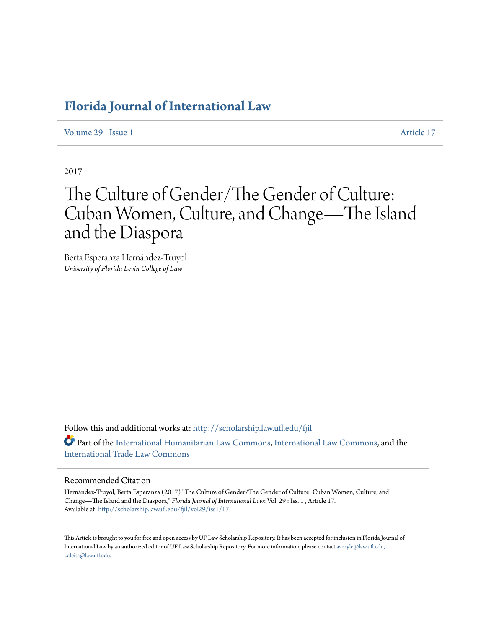## **[Florida Journal of International Law](http://scholarship.law.ufl.edu/fjil?utm_source=scholarship.law.ufl.edu%2Ffjil%2Fvol29%2Fiss1%2F17&utm_medium=PDF&utm_campaign=PDFCoverPages)**

[Volume 29](http://scholarship.law.ufl.edu/fjil/vol29?utm_source=scholarship.law.ufl.edu%2Ffjil%2Fvol29%2Fiss1%2F17&utm_medium=PDF&utm_campaign=PDFCoverPages) | [Issue 1](http://scholarship.law.ufl.edu/fjil/vol29/iss1?utm_source=scholarship.law.ufl.edu%2Ffjil%2Fvol29%2Fiss1%2F17&utm_medium=PDF&utm_campaign=PDFCoverPages) [Article 17](http://scholarship.law.ufl.edu/fjil/vol29/iss1/17?utm_source=scholarship.law.ufl.edu%2Ffjil%2Fvol29%2Fiss1%2F17&utm_medium=PDF&utm_campaign=PDFCoverPages)

2017

# The Culture of Gender/The Gender of Culture: Cuban Women, Culture, and Change—The Island and the Diaspora

Berta Esperanza Hernández-Truyol *University of Florida Levin College of Law*

Follow this and additional works at: [http://scholarship.law.ufl.edu/fjil](http://scholarship.law.ufl.edu/fjil?utm_source=scholarship.law.ufl.edu%2Ffjil%2Fvol29%2Fiss1%2F17&utm_medium=PDF&utm_campaign=PDFCoverPages) Part of the [International Humanitarian Law Commons,](https://network.bepress.com/hgg/discipline/1330?utm_source=scholarship.law.ufl.edu%2Ffjil%2Fvol29%2Fiss1%2F17&utm_medium=PDF&utm_campaign=PDFCoverPages) [International Law Commons](https://network.bepress.com/hgg/discipline/609?utm_source=scholarship.law.ufl.edu%2Ffjil%2Fvol29%2Fiss1%2F17&utm_medium=PDF&utm_campaign=PDFCoverPages), and the [International Trade Law Commons](https://network.bepress.com/hgg/discipline/848?utm_source=scholarship.law.ufl.edu%2Ffjil%2Fvol29%2Fiss1%2F17&utm_medium=PDF&utm_campaign=PDFCoverPages)

#### Recommended Citation

Hernández-Truyol, Berta Esperanza (2017) "The Culture of Gender/The Gender of Culture: Cuban Women, Culture, and Change—The Island and the Diaspora," *Florida Journal of International Law*: Vol. 29 : Iss. 1 , Article 17. Available at: [http://scholarship.law.ufl.edu/fjil/vol29/iss1/17](http://scholarship.law.ufl.edu/fjil/vol29/iss1/17?utm_source=scholarship.law.ufl.edu%2Ffjil%2Fvol29%2Fiss1%2F17&utm_medium=PDF&utm_campaign=PDFCoverPages)

This Article is brought to you for free and open access by UF Law Scholarship Repository. It has been accepted for inclusion in Florida Journal of International Law by an authorized editor of UF Law Scholarship Repository. For more information, please contact [averyle@law.ufl.edu,](mailto:averyle@law.ufl.edu,%20kaleita@law.ufl.edu) [kaleita@law.ufl.edu.](mailto:averyle@law.ufl.edu,%20kaleita@law.ufl.edu)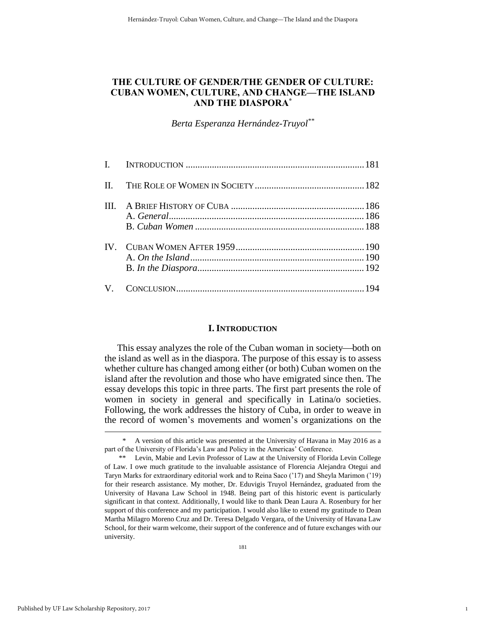### **THE CULTURE OF GENDER/THE GENDER OF CULTURE: CUBAN WOMEN, CULTURE, AND CHANGE—THE ISLAND AND THE DIASPORA\***

*Berta Esperanza Hernández-Truyol\*\**

#### **I. INTRODUCTION**

This essay analyzes the role of the Cuban woman in society—both on the island as well as in the diaspora. The purpose of this essay is to assess whether culture has changed among either (or both) Cuban women on the island after the revolution and those who have emigrated since then. The essay develops this topic in three parts. The first part presents the role of women in society in general and specifically in Latina/o societies. Following, the work addresses the history of Cuba, in order to weave in the record of women's movements and women's organizations on the

1

A version of this article was presented at the University of Havana in May 2016 as a part of the University of Florida's Law and Policy in the Americas' Conference.

<sup>\*\*</sup> Levin, Mabie and Levin Professor of Law at the University of Florida Levin College of Law. I owe much gratitude to the invaluable assistance of Florencia Alejandra Otegui and Taryn Marks for extraordinary editorial work and to Reina Saco ('17) and Sheyla Marimon ('19) for their research assistance. My mother, Dr. Eduvigis Truyol Hernández, graduated from the University of Havana Law School in 1948. Being part of this historic event is particularly significant in that context. Additionally, I would like to thank Dean Laura A. Rosenbury for her support of this conference and my participation. I would also like to extend my gratitude to Dean Martha Milagro Moreno Cruz and Dr. Teresa Delgado Vergara, of the University of Havana Law School, for their warm welcome, their support of the conference and of future exchanges with our university.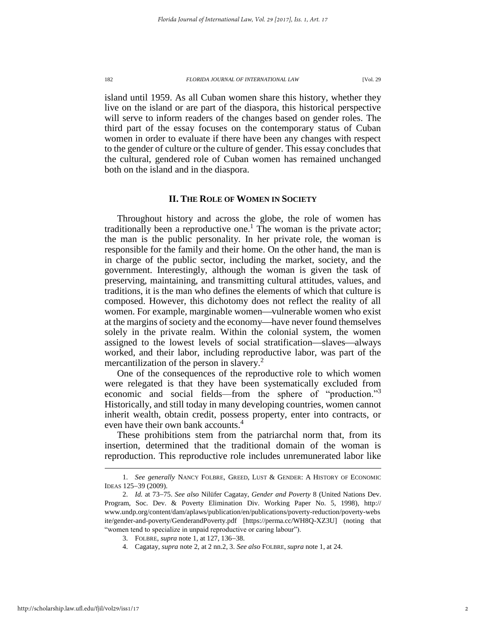island until 1959. As all Cuban women share this history, whether they live on the island or are part of the diaspora, this historical perspective will serve to inform readers of the changes based on gender roles. The third part of the essay focuses on the contemporary status of Cuban women in order to evaluate if there have been any changes with respect to the gender of culture or the culture of gender. This essay concludes that the cultural, gendered role of Cuban women has remained unchanged both on the island and in the diaspora.

#### **II. THE ROLE OF WOMEN IN SOCIETY**

Throughout history and across the globe, the role of women has traditionally been a reproductive one.<sup>1</sup> The woman is the private actor; the man is the public personality. In her private role, the woman is responsible for the family and their home. On the other hand, the man is in charge of the public sector, including the market, society, and the government. Interestingly, although the woman is given the task of preserving, maintaining, and transmitting cultural attitudes, values, and traditions, it is the man who defines the elements of which that culture is composed. However, this dichotomy does not reflect the reality of all women. For example, marginable women—vulnerable women who exist at the margins of society and the economy—have never found themselves solely in the private realm. Within the colonial system, the women assigned to the lowest levels of social stratification—slaves—always worked, and their labor, including reproductive labor, was part of the mercantilization of the person in slavery.<sup>2</sup>

One of the consequences of the reproductive role to which women were relegated is that they have been systematically excluded from economic and social fields—from the sphere of "production."<sup>3</sup> Historically, and still today in many developing countries, women cannot inherit wealth, obtain credit, possess property, enter into contracts, or even have their own bank accounts.<sup>4</sup>

These prohibitions stem from the patriarchal norm that, from its insertion, determined that the traditional domain of the woman is reproduction. This reproductive role includes unremunerated labor like

<sup>1.</sup> *See generally* NANCY FOLBRE, GREED, LUST & GENDER: A HISTORY OF ECONOMIC IDEAS 125-39 (2009).

<sup>2.</sup> *Id.* at 73–75. *See also* Nilüfer Cagatay, *Gender and Poverty* 8 (United Nations Dev. Program, Soc. Dev. & Poverty Elimination Div. Working Paper No. 5, 1998), http:// www.undp.org/content/dam/aplaws/publication/en/publications/poverty-reduction/poverty-webs ite/gender-and-poverty/GenderandPoverty.pdf [https://perma.cc/WH8Q-XZ3U] (noting that "women tend to specialize in unpaid reproductive or caring labour").

<sup>3.</sup> FOLBRE, *supra* note 1, at 127, 136–38.

<sup>4.</sup> Cagatay, *supra* note 2, at 2 nn.2, 3. *See also* FOLBRE, *supra* note 1, at 24.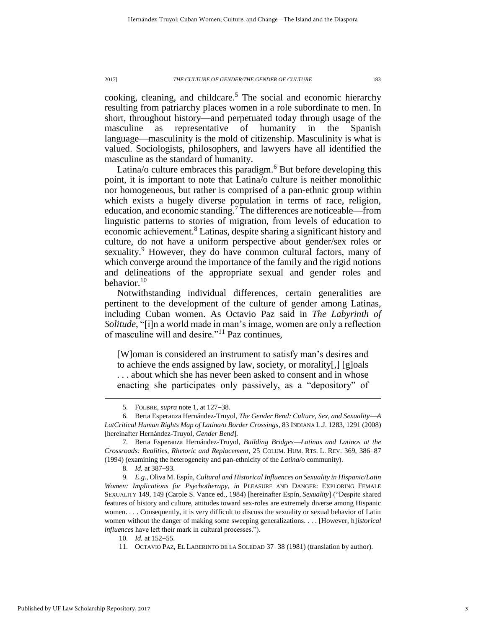cooking, cleaning, and childcare.<sup>5</sup> The social and economic hierarchy resulting from patriarchy places women in a role subordinate to men. In short, throughout history—and perpetuated today through usage of the masculine as representative of humanity in the Spanish language—masculinity is the mold of citizenship. Masculinity is what is valued. Sociologists, philosophers, and lawyers have all identified the masculine as the standard of humanity.

Latina/o culture embraces this paradigm. $<sup>6</sup>$  But before developing this</sup> point, it is important to note that Latina/o culture is neither monolithic nor homogeneous, but rather is comprised of a pan-ethnic group within which exists a hugely diverse population in terms of race, religion, education, and economic standing.<sup>7</sup> The differences are noticeable—from linguistic patterns to stories of migration, from levels of education to economic achievement.<sup>8</sup> Latinas, despite sharing a significant history and culture, do not have a uniform perspective about gender/sex roles or sexuality.<sup>9</sup> However, they do have common cultural factors, many of which converge around the importance of the family and the rigid notions and delineations of the appropriate sexual and gender roles and behavior. $10$ 

Notwithstanding individual differences, certain generalities are pertinent to the development of the culture of gender among Latinas, including Cuban women. As Octavio Paz said in *The Labyrinth of Solitude*, "[i]n a world made in man's image, women are only a reflection of masculine will and desire."<sup>11</sup> Paz continues,

[W]oman is considered an instrument to satisfy man's desires and to achieve the ends assigned by law, society, or morality[,] [g]oals . . . about which she has never been asked to consent and in whose enacting she participates only passively, as a "depository" of

<sup>5.</sup> FOLBRE, *supra* note 1, at 127–38.

<sup>6.</sup> Berta Esperanza Hernández-Truyol, *The Gender Bend: Culture, Sex, and SexualityA LatCritical Human Rights Map of Latina/o Border Crossings*, 83 INDIANA L.J. 1283, 1291 (2008) [hereinafter Hernández-Truyol, *Gender Bend*].

<sup>7.</sup> Berta Esperanza Hernández-Truyol, *Building BridgesLatinas and Latinos at the Crossroads: Realities, Rhetoric and Replacement*, 25 COLUM. HUM. RTS. L. REV. 369, 386-87 (1994) (examining the heterogeneity and pan-ethnicity of the *Latina/o* community).

<sup>8.</sup> *Id.* at 387–93.

<sup>9.</sup> *E.g.*, Oliva M. Espín, *Cultural and Historical Influences on Sexuality in Hispanic/Latin Women: Implications for Psychotherapy*, *in* PLEASURE AND DANGER: EXPLORING FEMALE SEXUALITY 149, 149 (Carole S. Vance ed., 1984) [hereinafter Espín, *Sexuality*] ("Despite shared features of history and culture, attitudes toward sex-roles are extremely diverse among Hispanic women. . . . Consequently, it is very difficult to discuss the sexuality or sexual behavior of Latin women without the danger of making some sweeping generalizations. . . . [However, h]*istorical influences* have left their mark in cultural processes.").

<sup>10.</sup> *Id.* at 152–55.

<sup>11.</sup> OCTAVIO PAZ, EL LABERINTO DE LA SOLEDAD 37-38 (1981) (translation by author).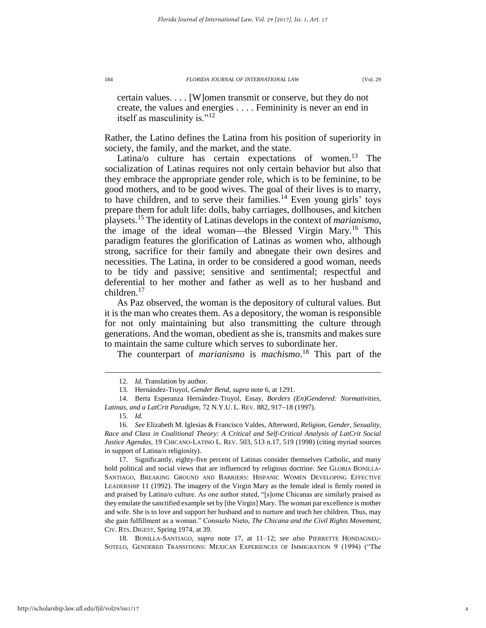certain values. . . . [W]omen transmit or conserve, but they do not create, the values and energies . . . . Femininity is never an end in itself as masculinity is."<sup>12</sup>

Rather, the Latino defines the Latina from his position of superiority in society, the family, and the market, and the state.

Latina/o culture has certain expectations of women.<sup>13</sup> The socialization of Latinas requires not only certain behavior but also that they embrace the appropriate gender role, which is to be feminine, to be good mothers, and to be good wives. The goal of their lives is to marry, to have children, and to serve their families.<sup>14</sup> Even young girls' toys prepare them for adult life: dolls, baby carriages, dollhouses, and kitchen playsets.<sup>15</sup> The identity of Latinas develops in the context of *marianismo*, the image of the ideal woman—the Blessed Virgin Mary.<sup>16</sup> This paradigm features the glorification of Latinas as women who, although strong, sacrifice for their family and abnegate their own desires and necessities. The Latina, in order to be considered a good woman, needs to be tidy and passive; sensitive and sentimental; respectful and deferential to her mother and father as well as to her husband and children.<sup>17</sup>

<span id="page-4-0"></span>As Paz observed, the woman is the depository of cultural values. But it is the man who creates them. As a depository, the woman is responsible for not only maintaining but also transmitting the culture through generations. And the woman, obedient as she is, transmits and makes sure to maintain the same culture which serves to subordinate her.

The counterpart of *marianismo* is *machismo*. <sup>18</sup> This part of the

 $\overline{a}$ 

17. Significantly, eighty-five percent of Latinas consider themselves Catholic, and many hold political and social views that are influenced by religious doctrine. *See* GLORIA BONILLA-SANTIAGO, BREAKING GROUND AND BARRIERS: HISPANIC WOMEN DEVELOPING EFFECTIVE LEADERSHIP 11 (1992). The imagery of the Virgin Mary as the female ideal is firmly rooted in and praised by Latina/o culture. As one author stated, "[s]ome Chicanas are similarly praised as they emulate the sanctified example set by [the Virgin] Mary. The woman par excellence is mother and wife. She is to love and support her husband and to nurture and teach her children. Thus, may she gain fulfillment as a woman." Consuelo Nieto, *The Chicana and the Civil Rights Movement*, CIV. RTS. DIGEST, Spring 1974, at 39.

18. BONILLA-SANTIAGO, *supra* note [17,](#page-4-0) at 11–12; *see also* PIERRETTE HONDAGNEU-SOTELO, GENDERED TRANSITIONS: MEXICAN EXPERIENCES OF IMMIGRATION 9 (1994) ("The

<sup>12.</sup> *Id.* Translation by author.

<sup>13.</sup> Hernández-Truyol, *Gender Bend*, *supra* note 6, at 1291.

<sup>14.</sup> Berta Esperanza Hernández-Truyol, Essay, *Borders (En)Gendered: Normativities, Latinas, and a LatCrit Paradigm, 72 N.Y.U. L. REV. 882, 917–18 (1997).* 

<sup>15.</sup> *Id.*

<sup>16.</sup> *See* Elizabeth M. Iglesias & Francisco Valdes, Afterword, *Religion, Gender, Sexuality, Race and Class in Coalitional Theory: A Critical and Self-Critical Analysis of LatCrit Social Justice Agendas*, 19 CHICANO-LATINO L. REV. 503, 513 n.17, 519 (1998) (citing myriad sources in support of Latina/o religiosity).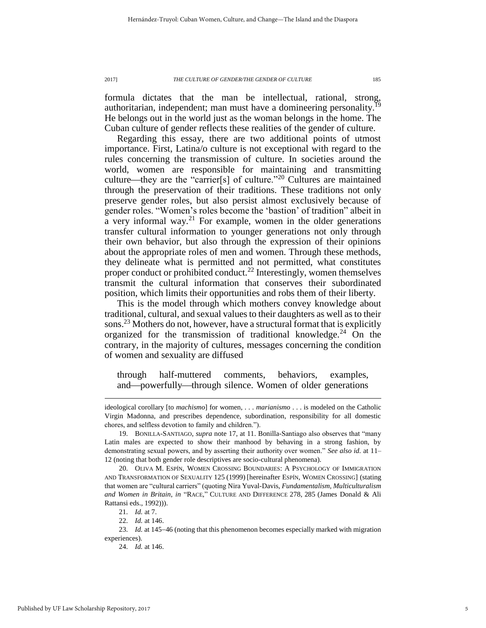formula dictates that the man be intellectual, rational, strong, authoritarian, independent; man must have a domineering personality.<sup>19</sup> He belongs out in the world just as the woman belongs in the home. The Cuban culture of gender reflects these realities of the gender of culture.

<span id="page-5-0"></span>Regarding this essay, there are two additional points of utmost importance. First, Latina/o culture is not exceptional with regard to the rules concerning the transmission of culture. In societies around the world, women are responsible for maintaining and transmitting culture—they are the "carrier[s] of culture."<sup>20</sup> Cultures are maintained through the preservation of their traditions. These traditions not only preserve gender roles, but also persist almost exclusively because of gender roles. "Women's roles become the 'bastion' of tradition" albeit in a very informal way.<sup>21</sup> For example, women in the older generations transfer cultural information to younger generations not only through their own behavior, but also through the expression of their opinions about the appropriate roles of men and women. Through these methods, they delineate what is permitted and not permitted, what constitutes proper conduct or prohibited conduct.<sup>22</sup> Interestingly, women themselves transmit the cultural information that conserves their subordinated position, which limits their opportunities and robs them of their liberty.

This is the model through which mothers convey knowledge about traditional, cultural, and sexual values to their daughters as well as to their sons.<sup>23</sup> Mothers do not, however, have a structural format that is explicitly organized for the transmission of traditional knowledge.<sup>24</sup> On the contrary, in the majority of cultures, messages concerning the condition of women and sexuality are diffused

through half-muttered comments, behaviors, examples, and—powerfully—through silence. Women of older generations

ideological corollary [to *machismo*] for women, . . . *marianismo* . . . is modeled on the Catholic Virgin Madonna, and prescribes dependence, subordination, responsibility for all domestic chores, and selfless devotion to family and children.").

<sup>19.</sup> BONILLA-SANTIAGO, *supra* note [17,](#page-4-0) at 11. Bonilla-Santiago also observes that "many Latin males are expected to show their manhood by behaving in a strong fashion, by demonstrating sexual powers, and by asserting their authority over women." *See also id.* at 11– 12 (noting that both gender role descriptives are socio-cultural phenomena).

<sup>20.</sup> OLIVA M. ESPÍN, WOMEN CROSSING BOUNDARIES: A PSYCHOLOGY OF IMMIGRATION AND TRANSFORMATION OF SEXUALITY 125 (1999) [hereinafter ESPÍN, WOMEN CROSSING] (stating that women are "cultural carriers" (quoting Nira Yuval-Davis, *Fundamentalism, Multiculturalism and Women in Britain*, *in* "RACE," CULTURE AND DIFFERENCE 278, 285 (James Donald & Ali Rattansi eds., 1992))).

<sup>21.</sup> *Id.* at 7.

<sup>22.</sup> *Id.* at 146.

<sup>23.</sup> *Id.* at 145–46 (noting that this phenomenon becomes especially marked with migration experiences).

<sup>24.</sup> *Id.* at 146.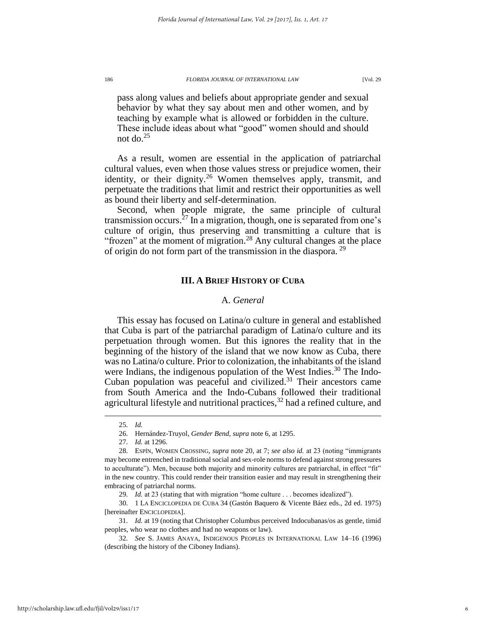pass along values and beliefs about appropriate gender and sexual behavior by what they say about men and other women, and by teaching by example what is allowed or forbidden in the culture. These include ideas about what "good" women should and should not do. $25$ 

As a result, women are essential in the application of patriarchal cultural values, even when those values stress or prejudice women, their identity, or their dignity.<sup>26</sup> Women themselves apply, transmit, and perpetuate the traditions that limit and restrict their opportunities as well as bound their liberty and self-determination.

Second, when people migrate, the same principle of cultural transmission occurs.<sup>27</sup> In a migration, though, one is separated from one's culture of origin, thus preserving and transmitting a culture that is "frozen" at the moment of migration.<sup>28</sup> Any cultural changes at the place of origin do not form part of the transmission in the diaspora. <sup>29</sup>

#### **III. A BRIEF HISTORY OF CUBA**

#### <span id="page-6-0"></span>A. *General*

This essay has focused on Latina/o culture in general and established that Cuba is part of the patriarchal paradigm of Latina/o culture and its perpetuation through women. But this ignores the reality that in the beginning of the history of the island that we now know as Cuba, there was no Latina/o culture. Prior to colonization, the inhabitants of the island were Indians, the indigenous population of the West Indies.<sup>30</sup> The Indo-Cuban population was peaceful and civilized.<sup>31</sup> Their ancestors came from South America and the Indo-Cubans followed their traditional agricultural lifestyle and nutritional practices,<sup>32</sup> had a refined culture, and

<sup>25.</sup> *Id.*

<sup>26.</sup> Hernández-Truyol, *Gender Bend*, *supra* note 6, at 1295.

<sup>27.</sup> *Id.* at 1296.

<sup>28.</sup> ESPÍN, WOMEN CROSSING, *supra* note [20,](#page-5-0) at 7; *see also id.* at 23 (noting "immigrants may become entrenched in traditional social and sex-role norms to defend against strong pressures to acculturate"). Men, because both majority and minority cultures are patriarchal, in effect "fit" in the new country. This could render their transition easier and may result in strengthening their embracing of patriarchal norms.

<sup>29.</sup> *Id.* at 23 (stating that with migration "home culture . . . becomes idealized").

<sup>30.</sup> 1 LA ENCICLOPEDIA DE CUBA 34 (Gastón Baquero & Vicente Báez eds., 2d ed. 1975) [hereinafter ENCICLOPEDIA].

<sup>31.</sup> *Id.* at 19 (noting that Christopher Columbus perceived Indocubanas/os as gentle, timid peoples, who wear no clothes and had no weapons or law).

<sup>32.</sup> *See* S. JAMES ANAYA, INDIGENOUS PEOPLES IN INTERNATIONAL LAW 14–16 (1996) (describing the history of the Ciboney Indians).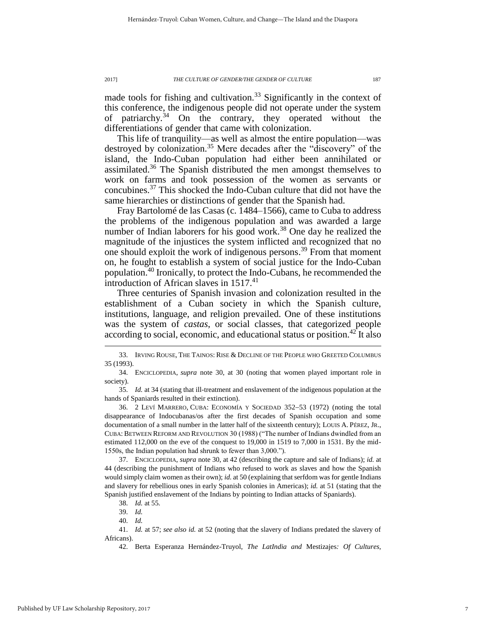made tools for fishing and cultivation.<sup>33</sup> Significantly in the context of this conference, the indigenous people did not operate under the system of patriarchy.<sup>34</sup> On the contrary, they operated without the differentiations of gender that came with colonization.

<span id="page-7-0"></span>This life of tranquility—as well as almost the entire population—was destroyed by colonization.<sup>35</sup> Mere decades after the "discovery" of the island, the Indo-Cuban population had either been annihilated or assimilated.<sup>36</sup> The Spanish distributed the men amongst themselves to work on farms and took possession of the women as servants or concubines.<sup>37</sup> This shocked the Indo-Cuban culture that did not have the same hierarchies or distinctions of gender that the Spanish had.

Fray Bartolomé de las Casas (c. 1484–1566), came to Cuba to address the problems of the indigenous population and was awarded a large number of Indian laborers for his good work.<sup>38</sup> One day he realized the magnitude of the injustices the system inflicted and recognized that no one should exploit the work of indigenous persons. <sup>39</sup> From that moment on, he fought to establish a system of social justice for the Indo-Cuban population.<sup>40</sup> Ironically, to protect the Indo-Cubans, he recommended the introduction of African slaves in 1517. 41

Three centuries of Spanish invasion and colonization resulted in the establishment of a Cuban society in which the Spanish culture, institutions, language, and religion prevailed. One of these institutions was the system of *castas*, or social classes, that categorized people according to social, economic, and educational status or position.<sup>42</sup> It also

<sup>33.</sup> IRVING ROUSE, THE TAINOS: RISE & DECLINE OF THE PEOPLE WHO GREETED COLUMBUS 35 (1993).

<sup>34.</sup> ENCICLOPEDIA, *supra* note [30,](#page-6-0) at 30 (noting that women played important role in society).

<sup>35.</sup> *Id.* at 34 (stating that ill-treatment and enslavement of the indigenous population at the hands of Spaniards resulted in their extinction).

<sup>36. 2</sup> LEVÍ MARRERO, CUBA: ECONOMÍA Y SOCIEDAD 352–53 (1972) (noting the total disappearance of Indocubanas/os after the first decades of Spanish occupation and some documentation of a small number in the latter half of the sixteenth century); LOUIS A. PÉREZ, JR., CUBA: BETWEEN REFORM AND REVOLUTION 30 (1988) ("The number of Indians dwindled from an estimated 112,000 on the eve of the conquest to 19,000 in 1519 to 7,000 in 1531. By the mid-1550s, the Indian population had shrunk to fewer than 3,000.").

<sup>37.</sup> ENCICLOPEDIA, *supra* note [30,](#page-6-0) at 42 (describing the capture and sale of Indians); *id.* at 44 (describing the punishment of Indians who refused to work as slaves and how the Spanish would simply claim women as their own); *id.* at 50 (explaining that serfdom was for gentle Indians and slavery for rebellious ones in early Spanish colonies in Americas); *id.* at 51 (stating that the Spanish justified enslavement of the Indians by pointing to Indian attacks of Spaniards).

<sup>38.</sup> *Id.* at 55.

<sup>39.</sup> *Id.*

<sup>40.</sup> *Id.*

<sup>41.</sup> *Id.* at 57; *see also id.* at 52 (noting that the slavery of Indians predated the slavery of Africans).

<sup>42.</sup> Berta Esperanza Hernández-Truyol, *The LatIndia and* Mestizajes*: Of Cultures,*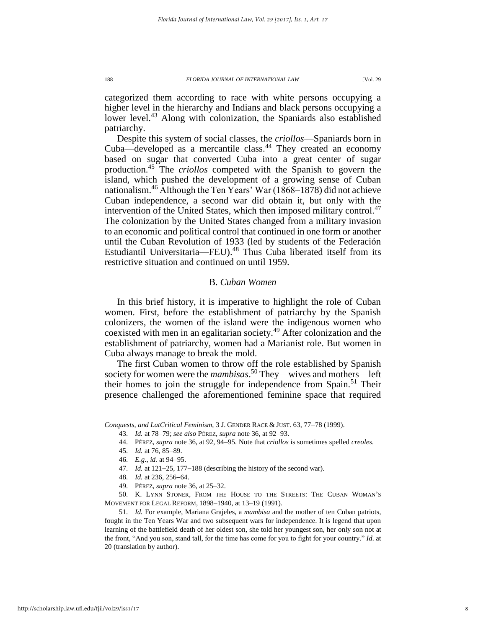categorized them according to race with white persons occupying a higher level in the hierarchy and Indians and black persons occupying a lower level.<sup>43</sup> Along with colonization, the Spaniards also established patriarchy.

Despite this system of social classes, the *criollos*—Spaniards born in Cuba—developed as a mercantile class.<sup>44</sup> They created an economy based on sugar that converted Cuba into a great center of sugar production.<sup>45</sup> The *criollos* competed with the Spanish to govern the island, which pushed the development of a growing sense of Cuban nationalism.<sup>46</sup> Although the Ten Years' War (1868–1878) did not achieve Cuban independence, a second war did obtain it, but only with the intervention of the United States, which then imposed military control.<sup>47</sup> The colonization by the United States changed from a military invasion to an economic and political control that continued in one form or another until the Cuban Revolution of 1933 (led by students of the Federación Estudiantil Universitaria—FEU).<sup>48</sup> Thus Cuba liberated itself from its restrictive situation and continued on until 1959.

#### B. *Cuban Women*

In this brief history, it is imperative to highlight the role of Cuban women. First, before the establishment of patriarchy by the Spanish colonizers, the women of the island were the indigenous women who coexisted with men in an egalitarian society.<sup>49</sup> After colonization and the establishment of patriarchy, women had a Marianist role. But women in Cuba always manage to break the mold.

The first Cuban women to throw off the role established by Spanish society for women were the *mambisas*. <sup>50</sup> They—wives and mothers—left their homes to join the struggle for independence from Spain.<sup>51</sup> Their presence challenged the aforementioned feminine space that required

*Conquests, and LatCritical Feminism, 3 J. GENDER RACE & JUST. 63, 77-78 (1999).* 

<sup>43.</sup> *Id.* at 7879; *see also* PÉREZ, *supra* note [36,](#page-7-0) at 9293.

<sup>44.</sup> PÉREZ, *supra* not[e 36,](#page-7-0) at 92, 9495. Note that *criollos* is sometimes spelled *creoles*.

<sup>45.</sup> *Id.* at 76, 85-89.

<sup>46.</sup> *E.g.*, *id.* at 94–95.

<sup>47.</sup> *Id.* at 121–25, 177–188 (describing the history of the second war).

<sup>48.</sup> *Id.* at 236, 256–64.

<sup>49.</sup> PÉREZ, *supra* not[e 36,](#page-7-0) at 25–32.

<sup>50.</sup> K. LYNN STONER, FROM THE HOUSE TO THE STREETS: THE CUBAN WOMAN'S MOVEMENT FOR LEGAL REFORM, 1898–1940, at 13–19 (1991).

<sup>51.</sup> *Id.* For example, Mariana Grajeles, a *mambisa* and the mother of ten Cuban patriots, fought in the Ten Years War and two subsequent wars for independence. It is legend that upon learning of the battlefield death of her oldest son, she told her youngest son, her only son not at the front, "And you son, stand tall, for the time has come for you to fight for your country." *Id.* at 20 (translation by author).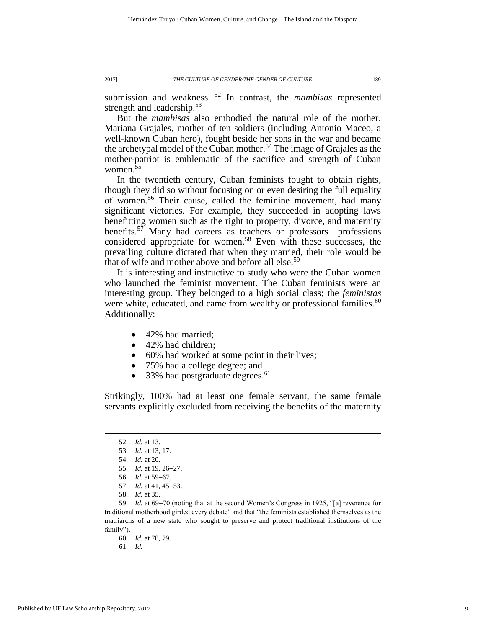submission and weakness. <sup>52</sup> In contrast, the *mambisas* represented strength and leadership. $53$ 

But the *mambisas* also embodied the natural role of the mother. Mariana Grajales, mother of ten soldiers (including Antonio Maceo, a well-known Cuban hero), fought beside her sons in the war and became the archetypal model of the Cuban mother.<sup>54</sup> The image of Grajales as the mother-patriot is emblematic of the sacrifice and strength of Cuban women.<sup>55</sup>

In the twentieth century, Cuban feminists fought to obtain rights, though they did so without focusing on or even desiring the full equality of women.<sup>56</sup> Their cause, called the feminine movement, had many significant victories. For example, they succeeded in adopting laws benefitting women such as the right to property, divorce, and maternity benefits.<sup>57</sup> Many had careers as teachers or professors—professions considered appropriate for women.<sup>58</sup> Even with these successes, the prevailing culture dictated that when they married, their role would be that of wife and mother above and before all else.<sup>59</sup>

It is interesting and instructive to study who were the Cuban women who launched the feminist movement. The Cuban feminists were an interesting group. They belonged to a high social class; the *feministas* were white, educated, and came from wealthy or professional families.<sup>60</sup> Additionally:

- 42% had married;
- 42% had children;
- 60% had worked at some point in their lives;
- 75% had a college degree; and
- 33% had postgraduate degrees.<sup>61</sup>

Strikingly, 100% had at least one female servant, the same female servants explicitly excluded from receiving the benefits of the maternity

 $\overline{a}$ 

58. *Id.* at 35.

<sup>52.</sup> *Id.* at 13.

<sup>53.</sup> *Id.* at 13, 17.

<sup>54.</sup> *Id.* at 20.

<sup>55.</sup> *Id.* at 19, 26-27.

<sup>56.</sup> *Id.* at 59–67.

<sup>57.</sup> *Id.* at 41, 45-53.

<sup>59.</sup> *Id.* at 69–70 (noting that at the second Women's Congress in 1925, "[a] reverence for traditional motherhood girded every debate" and that "the feminists established themselves as the matriarchs of a new state who sought to preserve and protect traditional institutions of the family").

<sup>60.</sup> *Id.* at 78, 79.

<sup>61.</sup> *Id.*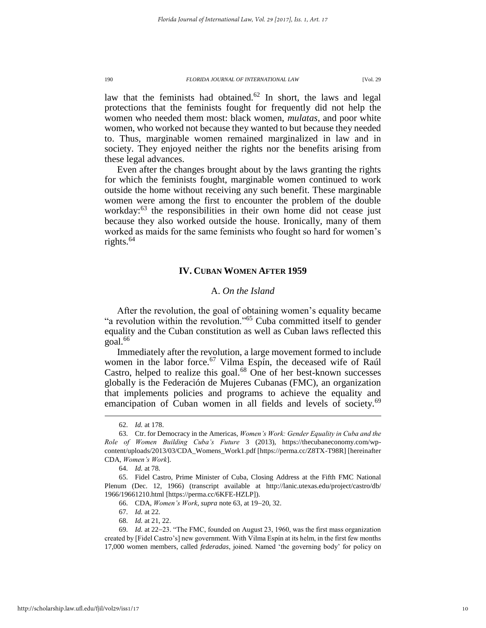law that the feminists had obtained.<sup>62</sup> In short, the laws and legal protections that the feminists fought for frequently did not help the women who needed them most: black women, *mulatas*, and poor white women, who worked not because they wanted to but because they needed to. Thus, marginable women remained marginalized in law and in society. They enjoyed neither the rights nor the benefits arising from these legal advances.

<span id="page-10-0"></span>Even after the changes brought about by the laws granting the rights for which the feminists fought, marginable women continued to work outside the home without receiving any such benefit. These marginable women were among the first to encounter the problem of the double workday:<sup>63</sup> the responsibilities in their own home did not cease just because they also worked outside the house. Ironically, many of them worked as maids for the same feminists who fought so hard for women's rights.<sup>64</sup>

#### **IV. CUBAN WOMEN AFTER 1959**

#### A. *On the Island*

After the revolution, the goal of obtaining women's equality became "a revolution within the revolution."<sup>65</sup> Cuba committed itself to gender equality and the Cuban constitution as well as Cuban laws reflected this  $\rm{goal.}^{66}$ 

Immediately after the revolution, a large movement formed to include women in the labor force.<sup>67</sup> Vilma Espín, the deceased wife of Raúl Castro, helped to realize this goal.<sup>68</sup> One of her best-known successes globally is the Federación de Mujeres Cubanas (FMC), an organization that implements policies and programs to achieve the equality and emancipation of Cuban women in all fields and levels of society.<sup>69</sup>

<sup>62.</sup> *Id.* at 178.

<sup>63.</sup> Ctr. for Democracy in the Americas, *Women's Work: Gender Equality in Cuba and the Role of Women Building Cuba's Future* 3 (2013), https://thecubaneconomy.com/wpcontent/uploads/2013/03/CDA\_Womens\_Work1.pdf [https://perma.cc/Z8TX-T98R] [hereinafter CDA, *Women's Work*].

<sup>64.</sup> *Id.* at 78.

<sup>65.</sup> Fidel Castro, Prime Minister of Cuba, Closing Address at the Fifth FMC National Plenum (Dec. 12, 1966) (transcript available at http://lanic.utexas.edu/project/castro/db/ 1966/19661210.html [https://perma.cc/6KFE-HZLP]).

<sup>66.</sup> CDA, *Women's Work*, *supra* not[e 63,](#page-10-0) at 19-20, 32.

<sup>67.</sup> *Id.* at 22.

<sup>68.</sup> *Id.* at 21, 22.

<sup>69.</sup> *Id.* at 22–23. "The FMC, founded on August 23, 1960, was the first mass organization created by [Fidel Castro's] new government. With Vilma Espín at its helm, in the first few months 17,000 women members, called *federadas*, joined. Named 'the governing body' for policy on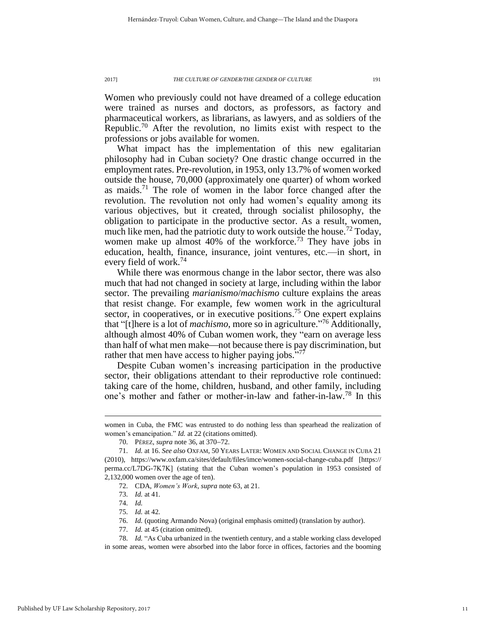Women who previously could not have dreamed of a college education were trained as nurses and doctors, as professors, as factory and pharmaceutical workers, as librarians, as lawyers, and as soldiers of the Republic.<sup>70</sup> After the revolution, no limits exist with respect to the professions or jobs available for women.

What impact has the implementation of this new egalitarian philosophy had in Cuban society? One drastic change occurred in the employment rates. Pre-revolution, in 1953, only 13.7% of women worked outside the house, 70,000 (approximately one quarter) of whom worked as maids.<sup>71</sup> The role of women in the labor force changed after the revolution. The revolution not only had women's equality among its various objectives, but it created, through socialist philosophy, the obligation to participate in the productive sector. As a result, women, much like men, had the patriotic duty to work outside the house.<sup>72</sup> Today, women make up almost  $40\%$  of the workforce.<sup>73</sup> They have jobs in education, health, finance, insurance, joint ventures, etc.—in short, in every field of work.<sup>74</sup>

While there was enormous change in the labor sector, there was also much that had not changed in society at large, including within the labor sector. The prevailing *marianismo*/*machismo* culture explains the areas that resist change. For example, few women work in the agricultural sector, in cooperatives, or in executive positions.<sup>75</sup> One expert explains that "[t]here is a lot of *machismo*, more so in agriculture." <sup>76</sup> Additionally, although almost 40% of Cuban women work, they "earn on average less than half of what men make—not because there is pay discrimination, but rather that men have access to higher paying jobs. $\frac{577}{77}$ 

Despite Cuban women's increasing participation in the productive sector, their obligations attendant to their reproductive role continued: taking care of the home, children, husband, and other family, including one's mother and father or mother-in-law and father-in-law.<sup>78</sup> In this

women in Cuba, the FMC was entrusted to do nothing less than spearhead the realization of women's emancipation." *Id.* at 22 (citations omitted).

<sup>70.</sup> PÉREZ, *supra* not[e 36,](#page-7-0) at 370–72.

<sup>71.</sup> *Id.* at 16. *See also* OXFAM, 50 YEARS LATER: WOMEN AND SOCIAL CHANGE IN CUBA 21 (2010), https://www.oxfam.ca/sites/default/files/imce/women-social-change-cuba.pdf [https:// perma.cc/L7DG-7K7K] (stating that the Cuban women's population in 1953 consisted of 2,132,000 women over the age of ten).

<sup>72.</sup> CDA, *Women's Work*, *supra* not[e 63,](#page-10-0) at 21.

<sup>73.</sup> *Id.* at 41.

<sup>74.</sup> *Id.*

<sup>75.</sup> *Id.* at 42.

<sup>76.</sup> *Id.* (quoting Armando Nova) (original emphasis omitted) (translation by author).

<sup>77.</sup> *Id.* at 45 (citation omitted).

<sup>78.</sup> *Id.* "As Cuba urbanized in the twentieth century, and a stable working class developed in some areas, women were absorbed into the labor force in offices, factories and the booming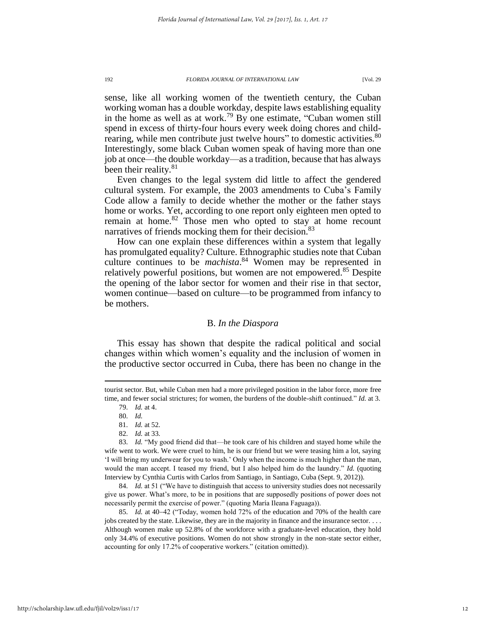sense, like all working women of the twentieth century, the Cuban working woman has a double workday, despite laws establishing equality in the home as well as at work.<sup>79</sup> By one estimate, "Cuban women still spend in excess of thirty-four hours every week doing chores and childrearing, while men contribute just twelve hours" to domestic activities.<sup>80</sup> Interestingly, some black Cuban women speak of having more than one job at once—the double workday—as a tradition, because that has always been their reality.<sup>81</sup>

Even changes to the legal system did little to affect the gendered cultural system. For example, the 2003 amendments to Cuba's Family Code allow a family to decide whether the mother or the father stays home or works. Yet, according to one report only eighteen men opted to remain at home.<sup>82</sup> Those men who opted to stay at home recount narratives of friends mocking them for their decision.<sup>83</sup>

How can one explain these differences within a system that legally has promulgated equality? Culture. Ethnographic studies note that Cuban culture continues to be *machista*. <sup>84</sup> Women may be represented in relatively powerful positions, but women are not empowered.<sup>85</sup> Despite the opening of the labor sector for women and their rise in that sector, women continue—based on culture—to be programmed from infancy to be mothers.

#### B. *In the Diaspora*

This essay has shown that despite the radical political and social changes within which women's equality and the inclusion of women in the productive sector occurred in Cuba, there has been no change in the

 $\overline{a}$ 

84. *Id.* at 51 ("We have to distinguish that access to university studies does not necessarily give us power. What's more, to be in positions that are supposedly positions of power does not necessarily permit the exercise of power." (quoting María Ileana Faguaga)).

85. *Id.* at 40–42 ("Today, women hold 72% of the education and 70% of the health care jobs created by the state. Likewise, they are in the majority in finance and the insurance sector. . . . Although women make up 52.8% of the workforce with a graduate-level education, they hold only 34.4% of executive positions. Women do not show strongly in the non-state sector either, accounting for only 17.2% of cooperative workers." (citation omitted)).

tourist sector. But, while Cuban men had a more privileged position in the labor force, more free time, and fewer social strictures; for women, the burdens of the double-shift continued." *Id.* at 3.

<sup>79.</sup> *Id.* at 4.

<sup>80.</sup> *Id.*

<sup>81.</sup> *Id.* at 52.

<sup>82.</sup> *Id.* at 33.

<sup>83.</sup> *Id.* "My good friend did that—he took care of his children and stayed home while the wife went to work. We were cruel to him, he is our friend but we were teasing him a lot, saying 'I will bring my underwear for you to wash.' Only when the income is much higher than the man, would the man accept. I teased my friend, but I also helped him do the laundry." *Id.* (quoting Interview by Cynthia Curtis with Carlos from Santiago, in Santiago, Cuba (Sept. 9, 2012)).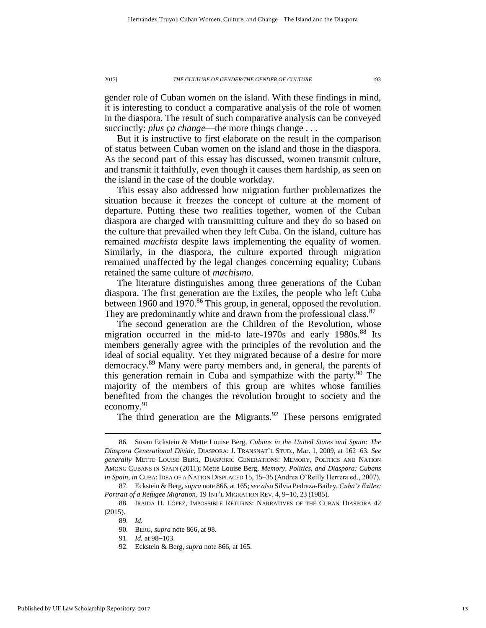gender role of Cuban women on the island. With these findings in mind, it is interesting to conduct a comparative analysis of the role of women in the diaspora. The result of such comparative analysis can be conveyed succinctly: *plus ca change*—the more things change . . .

But it is instructive to first elaborate on the result in the comparison of status between Cuban women on the island and those in the diaspora. As the second part of this essay has discussed, women transmit culture, and transmit it faithfully, even though it causes them hardship, as seen on the island in the case of the double workday.

This essay also addressed how migration further problematizes the situation because it freezes the concept of culture at the moment of departure. Putting these two realities together, women of the Cuban diaspora are charged with transmitting culture and they do so based on the culture that prevailed when they left Cuba. On the island, culture has remained *machista* despite laws implementing the equality of women. Similarly, in the diaspora, the culture exported through migration remained unaffected by the legal changes concerning equality; Cubans retained the same culture of *machismo*.

<span id="page-13-0"></span>The literature distinguishes among three generations of the Cuban diaspora. The first generation are the Exiles, the people who left Cuba between 1960 and 1970.<sup>86</sup> This group, in general, opposed the revolution. They are predominantly white and drawn from the professional class.<sup>87</sup>

The second generation are the Children of the Revolution, whose migration occurred in the mid-to late-1970s and early  $1980s$ .<sup>88</sup> Its members generally agree with the principles of the revolution and the ideal of social equality. Yet they migrated because of a desire for more democracy.<sup>89</sup> Many were party members and, in general, the parents of this generation remain in Cuba and sympathize with the party.<sup>90</sup> The majority of the members of this group are whites whose families benefited from the changes the revolution brought to society and the economy. $91$ 

The third generation are the Migrants.<sup>92</sup> These persons emigrated

<sup>86.</sup> Susan Eckstein & Mette Louise Berg, *Cubans in the United States and Spain: The Diaspora Generational Divide*, DIASPORA: J. TRANSNAT'L STUD., Mar. 1, 2009, at 162-63. See *generally* METTE LOUISE BERG, DIASPORIC GENERATIONS: MEMORY, POLITICS AND NATION AMONG CUBANS IN SPAIN (2011); Mette Louise Berg, *Memory, Politics, and Diaspora: Cubans in Spain*, *in* CUBA: IDEA OF A NATION DISPLACED 15, 15–35 (Andrea O'Reilly Herrera ed., 2007).

<sup>87.</sup> Eckstein & Berg, *supra* not[e 866](#page-13-0), at 165; *see also* Silvia Pedraza-Bailey, *Cuba's Exiles: Portrait of a Refugee Migration*, 19 INT'L MIGRATION REV. 4, 9-10, 23 (1985).

<sup>88.</sup> IRAIDA H. LÓPEZ, IMPOSSIBLE RETURNS: NARRATIVES OF THE CUBAN DIASPORA 42 (2015).

<sup>89.</sup> *Id.*

<sup>90.</sup> BERG, *supra* note [866](#page-13-0), at 98.

<sup>91.</sup> *Id.* at 98–103.

<sup>92.</sup> Eckstein & Berg, *supra* note [866](#page-13-0), at 165.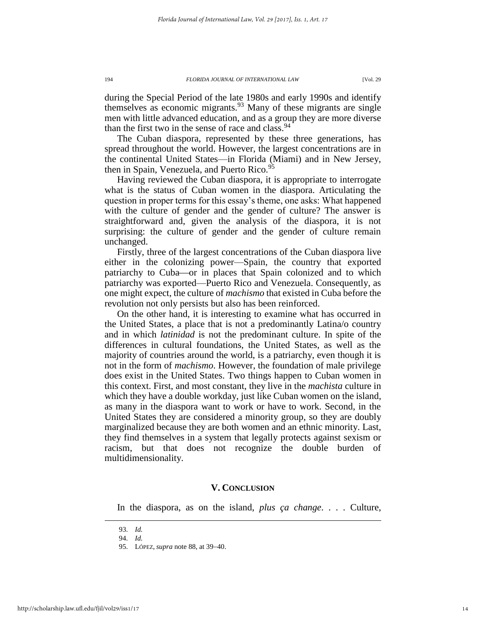during the Special Period of the late 1980s and early 1990s and identify themselves as economic migrants.<sup>93</sup> Many of these migrants are single men with little advanced education, and as a group they are more diverse than the first two in the sense of race and class.  $94$ 

The Cuban diaspora, represented by these three generations, has spread throughout the world. However, the largest concentrations are in the continental United States—in Florida (Miami) and in New Jersey, then in Spain, Venezuela, and Puerto Rico.<sup>95</sup>

Having reviewed the Cuban diaspora, it is appropriate to interrogate what is the status of Cuban women in the diaspora. Articulating the question in proper terms for this essay's theme, one asks: What happened with the culture of gender and the gender of culture? The answer is straightforward and, given the analysis of the diaspora, it is not surprising: the culture of gender and the gender of culture remain unchanged.

Firstly, three of the largest concentrations of the Cuban diaspora live either in the colonizing power—Spain, the country that exported patriarchy to Cuba-or in places that Spain colonized and to which patriarchy was exported—Puerto Rico and Venezuela. Consequently, as one might expect, the culture of *machismo* that existed in Cuba before the revolution not only persists but also has been reinforced.

On the other hand, it is interesting to examine what has occurred in the United States, a place that is not a predominantly Latina/o country and in which *latinidad* is not the predominant culture. In spite of the differences in cultural foundations, the United States, as well as the majority of countries around the world, is a patriarchy, even though it is not in the form of *machismo*. However, the foundation of male privilege does exist in the United States. Two things happen to Cuban women in this context. First, and most constant, they live in the *machista* culture in which they have a double workday, just like Cuban women on the island, as many in the diaspora want to work or have to work. Second, in the United States they are considered a minority group, so they are doubly marginalized because they are both women and an ethnic minority. Last, they find themselves in a system that legally protects against sexism or racism, but that does not recognize the double burden of multidimensionality.

#### **V. CONCLUSION**

In the diaspora, as on the island, *plus ça change*. . . . Culture,

<sup>93.</sup> *Id.*

<sup>94.</sup> *Id.*

<sup>95.</sup> LÓPEZ, *supra* note 88, at 39–40.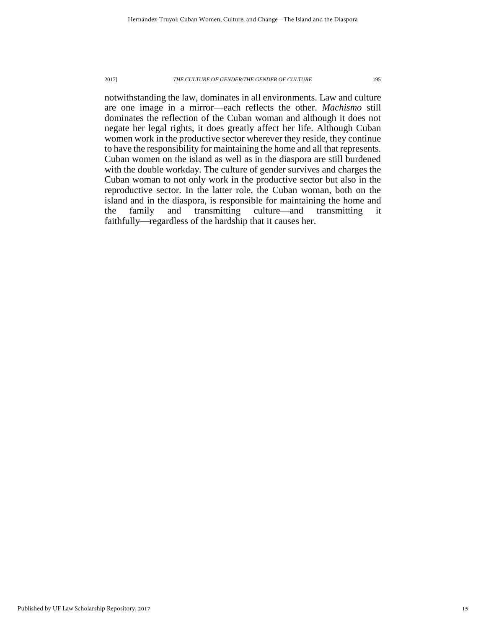notwithstanding the law, dominates in all environments. Law and culture are one image in a mirror—each reflects the other. *Machismo* still dominates the reflection of the Cuban woman and although it does not negate her legal rights, it does greatly affect her life. Although Cuban women work in the productive sector wherever they reside, they continue to have the responsibility for maintaining the home and all that represents. Cuban women on the island as well as in the diaspora are still burdened with the double workday. The culture of gender survives and charges the Cuban woman to not only work in the productive sector but also in the reproductive sector. In the latter role, the Cuban woman, both on the island and in the diaspora, is responsible for maintaining the home and the family and transmitting culture—and transmitting it the family and transmitting culture—and transmitting it faithfully—regardless of the hardship that it causes her.